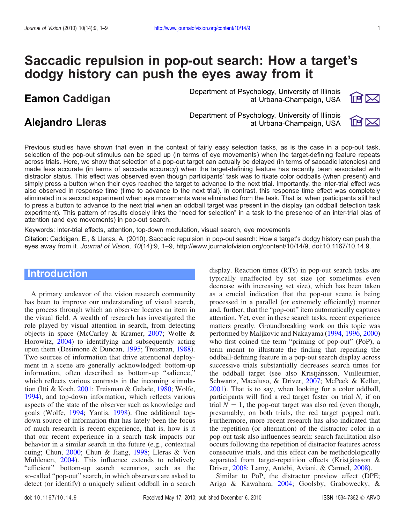# <span id="page-0-0"></span>Saccadic repulsion in pop-out search: How a target*'*s dodgy history can push the eyes away from it

Department of Psychology, University of Illinois Eamon Caddigan at Urbana-Champaign, USA

Department of Psychology, University of Illinois Alejandro Lleras **at Urbana-Champaign, USA** 



 $\ln$ p $\sim$ 

Previous studies have shown that even in the context of fairly easy selection tasks, as is the case in a pop-out task, selection of the pop-out stimulus can be sped up (in terms of eye movements) when the target-defining feature repeats across trials. Here, we show that selection of a pop-out target can actually be delayed (in terms of saccadic latencies) and made less accurate (in terms of saccade accuracy) when the target-defining feature has recently been associated with distractor status. This effect was observed even though participants' task was to fixate color oddballs (when present) and simply press a button when their eyes reached the target to advance to the next trial. Importantly, the inter-trial effect was also observed in response time (time to advance to the next trial). In contrast, this response time effect was completely eliminated in a second experiment when eye movements were eliminated from the task. That is, when participants still had

experiment). This pattern of results closely links the "need for selection" in a task to the presence of an inter-trial bias of attention (and eye movements) in pop-out search.

Keywords: inter-trial effects, attention, top-down modulation, visual search, eye movements

Citation: Caddigan, E., & Lleras, A. (2010). Saccadic repulsion in pop-out search: How a target's dodgy history can push the eyes away from it. Journal of Vision, 10(14):9, 1–9, http://www.journalofvision.org/content/10/14/9, doi:10.1167/10.14.9.

to press a button to advance to the next trial when an oddball target was present in the display (an oddball detection task

### **Introduction**

A primary endeavor of the vision research community has been to improve our understanding of visual search, the process through which an observer locates an item in the visual field. A wealth of research has investigated the role played by visual attention in search, from detecting objects in space (McCarley & Kramer, [2007;](#page-8-0) Wolfe & Horowitz, [2004](#page-8-0)) to identifying and subsequently acting upon them (Desimone & Duncan, [1995;](#page-7-0) Treisman, [1988\)](#page-8-0). Two sources of information that drive attentional deployment in a scene are generally acknowledged: bottom-up information, often described as bottom-up "salience," which reflects various contrasts in the incoming stimulation (Itti & Koch, [2001;](#page-7-0) Treisman & Gelade, [1980](#page-8-0); Wolfe, [1994\)](#page-8-0), and top-down information, which reflects various aspects of the state of the observer such as knowledge and goals (Wolfe, [1994](#page-8-0); Yantis, [1998](#page-8-0)). One additional topdown source of information that has lately been the focus of much research is recent experience, that is, how is it that our recent experience in a search task impacts our behavior in a similar search in the future (e.g., contextual cuing; Chun, [2000;](#page-7-0) Chun & Jiang, [1998;](#page-7-0) Lleras & Von Mühlenen, [2004](#page-8-0)). This influence extends to relatively "efficient" bottom-up search scenarios, such as the so-called "pop-out" search, in which observers are asked to detect (or identify) a uniquely salient oddball in a search

display. Reaction times (RTs) in pop-out search tasks are typically unaffected by set size (or sometimes even decrease with increasing set size), which has been taken as a crucial indication that the pop-out scene is being processed in a parallel (or extremely efficiently) manner and, further, that the "pop-out" item automatically captures attention. Yet, even in these search tasks, recent experience matters greatly. Groundbreaking work on this topic was performed by Maljkovic and Nakayama ([1994,](#page-8-0) [1996](#page-8-0), [2000](#page-8-0)) who first coined the term "priming of pop-out" (PoP), a term meant to illustrate the finding that repeating the oddball-defining feature in a pop-out search display across successive trials substantially decreases search times for the oddball target (see also Kristjánsson, Vuilleumier, Schwartz, Macaluso, & Driver, [2007](#page-7-0); McPeek & Keller, [2001\)](#page-8-0). That is to say, when looking for a color oddball, participants will find a red target faster on trial N, if on trial  $N - 1$ , the pop-out target was also red (even though, presumably, on both trials, the red target popped out). Furthermore, more recent research has also indicated that the repetition (or alternation) of the distractor color in a pop-out task also influences search: search facilitation also occurs following the repetition of distractor features across consecutive trials, and this effect can be methodologically separated from target-repetition effects (Kristjánsson & Driver, [2008](#page-7-0); Lamy, Antebi, Aviani, & Carmel, [2008\)](#page-7-0).

Similar to PoP, the distractor preview effect (DPE; Ariga & Kawahara, [2004](#page-7-0); Goolsby, Grabowecky, &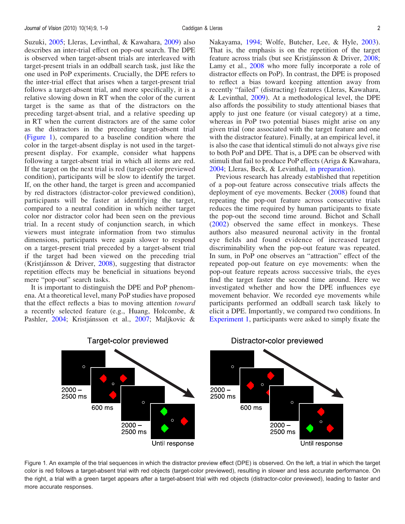Suzuki, [2005;](#page-7-0) Lleras, Levinthal, & Kawahara, [2009](#page-8-0)) also describes an inter-trial effect on pop-out search. The DPE is observed when target-absent trials are interleaved with target-present trials in an oddball search task, just like the one used in PoP experiments. Crucially, the DPE refers to the inter-trial effect that arises when a target-present trial follows a target-absent trial, and more specifically, it is a relative slowing down in RT when the color of the current target is the same as that of the distractors on the preceding target-absent trial, and a relative speeding up in RT when the current distractors are of the same color as the distractors in the preceding target-absent trial (Figure 1), compared to a baseline condition where the color in the target-absent display is not used in the targetpresent display. For example, consider what happens following a target-absent trial in which all items are red. If the target on the next trial is red (target-color previewed condition), participants will be slow to identify the target. If, on the other hand, the target is green and accompanied by red distractors (distractor-color previewed condition), participants will be faster at identifying the target, compared to a neutral condition in which neither target color nor distractor color had been seen on the previous trial. In a recent study of conjunction search, in which viewers must integrate information from two stimulus dimensions, participants were again slower to respond on a target-present trial preceded by a target-absent trial if the target had been viewed on the preceding trial (Kristjánsson & Driver,  $2008$ ), suggesting that distractor repetition effects may be beneficial in situations beyond mere "pop-out" search tasks.

It is important to distinguish the DPE and PoP phenomena. At a theoretical level, many PoP studies have proposed that the effect reflects a bias to moving attention toward a recently selected feature (e.g., Huang, Holcombe, & Pashler, [2004](#page-7-0); Kristjánsson et al., [2007](#page-7-0); Maljkovic &

Nakayama, [1994](#page-8-0); Wolfe, Butcher, Lee, & Hyle, [2003\)](#page-8-0). That is, the emphasis is on the repetition of the target feature across trials (but see Kristjánsson & Driver, [2008;](#page-7-0) Lamy et al., [2008](#page-7-0) who more fully incorporate a role of distractor effects on PoP). In contrast, the DPE is proposed to reflect a bias toward keeping attention away from recently "failed" (distracting) features (Lleras, Kawahara, & Levinthal, [2009](#page-8-0)). At a methodological level, the DPE also affords the possibility to study attentional biases that apply to just one feature (or visual category) at a time, whereas in PoP two potential biases might arise on any given trial (one associated with the target feature and one with the distractor feature). Finally, at an empirical level, it is also the case that identical stimuli do not always give rise to both PoP and DPE. That is, a DPE can be observed with stimuli that fail to produce PoP effects (Ariga & Kawahara, [2004;](#page-7-0) Lleras, Beck, & Levinthal, [in preparation\)](#page-8-0).

Previous research has already established that repetition of a pop-out feature across consecutive trials affects the deployment of eye movements. Becker ([2008\)](#page-7-0) found that repeating the pop-out feature across consecutive trials reduces the time required by human participants to fixate the pop-out the second time around. Bichot and Schall [\(2002\)](#page-7-0) observed the same effect in monkeys. These authors also measured neuronal activity in the frontal eye fields and found evidence of increased target discriminability when the pop-out feature was repeated. In sum, in PoP one observes an "attraction" effect of the repeated pop-out feature on eye movements: when the pop-out feature repeats across successive trials, the eyes find the target faster the second time around. Here we investigated whether and how the DPE influences eye movement behavior. We recorded eye movements while participants performed an oddball search task likely to elicit a DPE. Importantly, we compared two conditions. In [Experiment 1,](#page-2-0) participants were asked to simply fixate the





Figure 1*.* An example of the trial sequences in which the distractor preview effect (DPE) is observed. On the left, a trial in which the target color is red follows a target-absent trial with red objects (target-color previewed), resulting in slower and less accurate performance. On the right, a trial with a green target appears after a target-absent trial with red objects (distractor-color previewed), leading to faster and more accurate responses.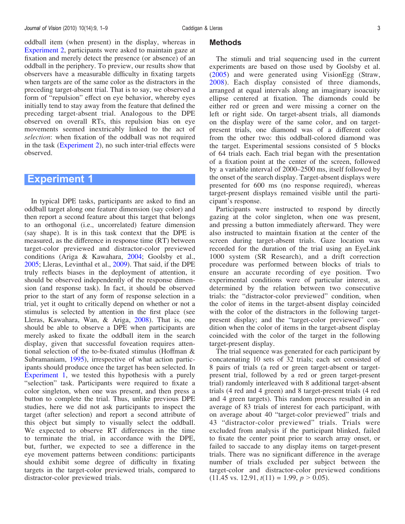<span id="page-2-0"></span>oddball item (when present) in the display, whereas in [Experiment 2](#page-3-0), participants were asked to maintain gaze at fixation and merely detect the presence (or absence) of an oddball in the periphery. To preview, our results show that observers have a measurable difficulty in fixating targets when targets are of the same color as the distractors in the preceding target-absent trial. That is to say, we observed a form of "repulsion" effect on eye behavior, whereby eyes initially tend to stay away from the feature that defined the preceding target-absent trial. Analogous to the DPE observed on overall RTs, this repulsion bias on eye movements seemed inextricably linked to the act of selection: when fixation of the oddball was not required in the task ([Experiment 2](#page-3-0)), no such inter-trial effects were observed.

# Experiment 1

In typical DPE tasks, participants are asked to find an oddball target along one feature dimension (say color) and then report a second feature about this target that belongs to an orthogonal (i.e., uncorrelated) feature dimension (say shape). It is in this task context that the DPE is measured, as the difference in response time (RT) between target-color previewed and distractor-color previewed conditions (Ariga & Kawahara, [2004;](#page-7-0) Goolsby et al., [2005;](#page-7-0) Lleras, Levinthal et al., [2009\)](#page-8-0). That said, if the DPE truly reflects biases in the deployment of attention, it should be observed independently of the response dimension (and response task). In fact, it should be observed prior to the start of any form of response selection in a trial, yet it ought to critically depend on whether or not a stimulus is selected by attention in the first place (see Lleras, Kawahara, Wan, & Ariga, [2008](#page-8-0)). That is, one should be able to observe a DPE when participants are merely asked to fixate the oddball item in the search display, given that successful foveation requires attentional selection of the to-be-fixated stimulus (Hoffman & Subramaniam, [1995](#page-7-0)), irrespective of what action participants should produce once the target has been selected. In Experiment 1, we tested this hypothesis with a purely "selection" task. Participants were required to fixate a color singleton, when one was present, and then press a button to complete the trial. Thus, unlike previous DPE studies, here we did not ask participants to inspect the target (after selection) and report a second attribute of this object but simply to visually select the oddball. We expected to observe RT differences in the time to terminate the trial, in accordance with the DPE, but, further, we expected to see a difference in the eye movement patterns between conditions: participants should exhibit some degree of difficulty in fixating targets in the target-color previewed trials, compared to distractor-color previewed trials.

#### Methods

The stimuli and trial sequencing used in the current experiments are based on those used by Goolsby et al. [\(2005\)](#page-7-0) and were generated using VisionEgg (Straw, [2008\)](#page-8-0). Each display consisted of three diamonds, arranged at equal intervals along an imaginary isoacuity ellipse centered at fixation. The diamonds could be either red or green and were missing a corner on the left or right side. On target-absent trials, all diamonds on the display were of the same color, and on targetpresent trials, one diamond was of a different color from the other two: this oddball-colored diamond was the target. Experimental sessions consisted of 5 blocks of 64 trials each. Each trial began with the presentation of a fixation point at the center of the screen, followed by a variable interval of 2000–2500 ms, itself followed by the onset of the search display. Target-absent displays were presented for 600 ms (no response required), whereas target-present displays remained visible until the participant's response.

Participants were instructed to respond by directly gazing at the color singleton, when one was present, and pressing a button immediately afterward. They were also instructed to maintain fixation at the center of the screen during target-absent trials. Gaze location was recorded for the duration of the trial using an EyeLink 1000 system (SR Research), and a drift correction procedure was performed between blocks of trials to ensure an accurate recording of eye position. Two experimental conditions were of particular interest, as determined by the relation between two consecutive trials: the "distractor-color previewed" condition, when the color of items in the target-absent display coincided with the color of the distractors in the following targetpresent display; and the "target-color previewed" condition when the color of items in the target-absent display coincided with the color of the target in the following target-present display.

The trial sequence was generated for each participant by concatenating 10 sets of 32 trials; each set consisted of 8 pairs of trials (a red or green target-absent or targetpresent trial, followed by a red or green target-present trial) randomly interleaved with 8 additional target-absent trials (4 red and 4 green) and 8 target-present trials (4 red and 4 green targets). This random process resulted in an average of 83 trials of interest for each participant, with on average about 40 "target-color previewed" trials and 43 "distractor-color previewed" trials. Trials were excluded from analysis if the participant blinked, failed to fixate the center point prior to search array onset, or failed to saccade to any display items on target-present trials. There was no significant difference in the average number of trials excluded per subject between the target-color and distractor-color previewed conditions  $(11.45 \text{ vs. } 12.91, t(11) = 1.99, p > 0.05).$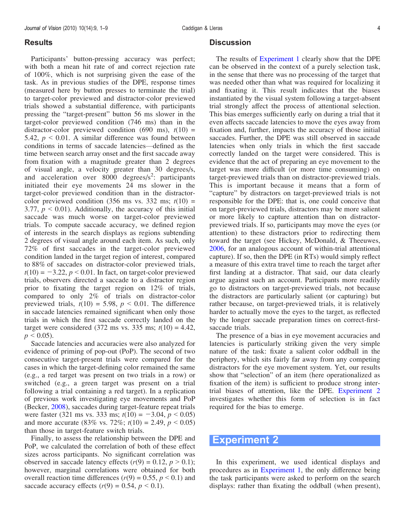#### <span id="page-3-0"></span>**Results**

Participants' button-pressing accuracy was perfect; with both a mean hit rate of and correct rejection rate of 100%, which is not surprising given the ease of the task. As in previous studies of the DPE, response times (measured here by button presses to terminate the trial) to target-color previewed and distractor-color previewed trials showed a substantial difference, with participants pressing the "target-present" button 56 ms slower in the target-color previewed condition (746 ms) than in the distractor-color previewed condition (690 ms),  $t(10)$  = 5.42,  $p < 0.01$ . A similar difference was found between conditions in terms of saccade latencies—defined as the time between search array onset and the first saccade away from fixation with a magnitude greater than 2 degrees of visual angle, a velocity greater than 30 degrees/s, and acceleration over  $8000$  degrees/s<sup>2</sup>: participants initiated their eye movements 24 ms slower in the target-color previewed condition than in the distractorcolor previewed condition (356 ms vs. 332 ms;  $t(10) =$ 3.77,  $p \le 0.01$ ). Additionally, the accuracy of this initial saccade was much worse on target-color previewed trials. To compute saccade accuracy, we defined region of interests in the search displays as regions subtending 2 degrees of visual angle around each item. As such, only 72% of first saccades in the target-color previewed condition landed in the target region of interest, compared to 88% of saccades on distractor-color previewed trials,  $t(10) = -3.22$ ,  $p < 0.01$ . In fact, on target-color previewed trials, observers directed a saccade to a distractor region prior to fixating the target region on 12% of trials, compared to only 2% of trials on distractor-color previewed trials,  $t(10) = 5.98$ ,  $p < 0.01$ . The difference in saccade latencies remained significant when only those trials in which the first saccade correctly landed on the target were considered (372 ms vs. 335 ms;  $t(10) = 4.42$ ,  $p \le 0.05$ ).

Saccade latencies and accuracies were also analyzed for evidence of priming of pop-out (PoP). The second of two consecutive target-present trials were compared for the cases in which the target-defining color remained the same (e.g., a red target was present on two trials in a row) or switched (e.g., a green target was present on a trial following a trial containing a red target). In a replication of previous work investigating eye movements and PoP (Becker, [2008](#page-7-0)), saccades during target-feature repeat trials were faster (321 ms vs. 333 ms;  $t(10) = -3.04$ ,  $p < 0.05$ ) and more accurate (83% vs. 72%;  $t(10) = 2.49$ ,  $p < 0.05$ ) than those in target-feature switch trials.

Finally, to assess the relationship between the DPE and PoP, we calculated the correlation of both of these effect sizes across participants. No significant correlation was observed in saccade latency effects  $(r(9) = 0.12, p > 0.1)$ ; however, marginal correlations were obtained for both overall reaction time differences  $(r(9) = 0.55, p \le 0.1)$  and saccade accuracy effects  $(r(9) = 0.54, p < 0.1)$ .

#### **Discussion**

The results of [Experiment 1](#page-2-0) clearly show that the DPE can be observed in the context of a purely selection task, in the sense that there was no processing of the target that was needed other than what was required for localizing it and fixating it. This result indicates that the biases instantiated by the visual system following a target-absent trial strongly affect the process of attentional selection. This bias emerges sufficiently early on during a trial that it even affects saccade latencies to move the eyes away from fixation and, further, impacts the accuracy of those initial saccades. Further, the DPE was still observed in saccade latencies when only trials in which the first saccade correctly landed on the target were considered. This is evidence that the act of preparing an eye movement to the target was more difficult (or more time consuming) on target-previewed trials than on distractor-previewed trials. This is important because it means that a form of "capture" by distractors on target-previewed trials is not responsible for the DPE: that is, one could conceive that on target-previewed trials, distractors may be more salient or more likely to capture attention than on distractorpreviewed trials. If so, participants may move the eyes (or attention) to these distractors prior to redirecting them toward the target (see Hickey, McDonald, & Theeuwes, [2006,](#page-7-0) for an analogous account of within-trial attentional capture). If so, then the DPE (in RTs) would simply reflect a measure of this extra travel time to reach the target after first landing at a distractor. That said, our data clearly argue against such an account. Participants more readily go to distractors on target-previewed trials, not because the distractors are particularly salient (or capturing) but rather because, on target-previewed trials, it is relatively harder to actually move the eyes to the target, as reflected by the longer saccade preparation times on correct-firstsaccade trials.

The presence of a bias in eye movement accuracies and latencies is particularly striking given the very simple nature of the task: fixate a salient color oddball in the periphery, which sits fairly far away from any competing distractors for the eye movement system. Yet, our results show that "selection" of an item (here operationalized as fixation of the item) is sufficient to produce strong intertrial biases of attention, like the DPE. Experiment 2 investigates whether this form of selection is in fact required for the bias to emerge.

### Experiment 2

In this experiment, we used identical displays and procedures as in [Experiment 1](#page-2-0), the only difference being the task participants were asked to perform on the search displays: rather than fixating the oddball (when present),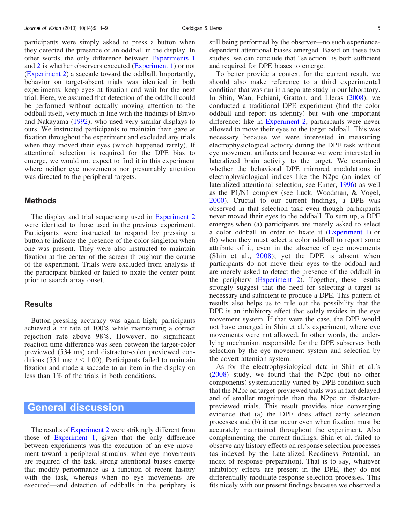participants were simply asked to press a button when they detected the presence of an oddball in the display. In other words, the only difference between [Experiments 1](#page-2-0) and [2](#page-3-0) is whether observers executed ([Experiment 1\)](#page-2-0) or not ([Experiment 2](#page-3-0)) a saccade toward the oddball. Importantly, behavior on target-absent trials was identical in both experiments: keep eyes at fixation and wait for the next trial. Here, we assumed that detection of the oddball could be performed without actually moving attention to the oddball itself, very much in line with the findings of Bravo and Nakayama ([1992\)](#page-7-0), who used very similar displays to ours. We instructed participants to maintain their gaze at fixation throughout the experiment and excluded any trials when they moved their eyes (which happened rarely). If attentional selection is required for the DPE bias to emerge, we would not expect to find it in this experiment where neither eye movements nor presumably attention was directed to the peripheral targets.

#### Methods

The display and trial sequencing used in [Experiment 2](#page-3-0) were identical to those used in the previous experiment. Participants were instructed to respond by pressing a button to indicate the presence of the color singleton when one was present. They were also instructed to maintain fixation at the center of the screen throughout the course of the experiment. Trials were excluded from analysis if the participant blinked or failed to fixate the center point prior to search array onset.

#### Results

Button-pressing accuracy was again high; participants achieved a hit rate of 100% while maintaining a correct rejection rate above 98%. However, no significant reaction time difference was seen between the target-color previewed (534 ms) and distractor-color previewed conditions (531 ms;  $t < 1.00$ ). Participants failed to maintain fixation and made a saccade to an item in the display on less than 1% of the trials in both conditions.

## General discussion

The results of [Experiment 2](#page-3-0) were strikingly different from those of [Experiment 1](#page-2-0), given that the only difference between experiments was the execution of an eye movement toward a peripheral stimulus: when eye movements are required of the task, strong attentional biases emerge that modify performance as a function of recent history with the task, whereas when no eye movements are executed—and detection of oddballs in the periphery is still being performed by the observer—no such experiencedependent attentional biases emerged. Based on these two studies, we can conclude that "selection" is both sufficient and required for DPE biases to emerge.

To better provide a context for the current result, we should also make reference to a third experimental condition that was run in a separate study in our laboratory. In Shin, Wan, Fabiani, Gratton, and Lleras ([2008\)](#page-8-0), we conducted a traditional DPE experiment (find the color oddball and report its identity) but with one important difference: like in [Experiment 2,](#page-3-0) participants were never allowed to move their eyes to the target oddball. This was necessary because we were interested in measuring electrophysiological activity during the DPE task without eye movement artifacts and because we were interested in lateralized brain activity to the target. We examined whether the behavioral DPE mirrored modulations in electrophysiological indices like the N2pc (an index of lateralized attentional selection, see Eimer, [1996\)](#page-7-0) as well as the P1/N1 complex (see Luck, Woodman, & Vogel, [2000](#page-8-0)). Crucial to our current findings, a DPE was observed in that selection task even though participants never moved their eyes to the oddball. To sum up, a DPE emerges when (a) participants are merely asked to select a color oddball in order to fixate it ([Experiment 1\)](#page-2-0) or (b) when they must select a color oddball to report some attribute of it, even in the absence of eye movements (Shin et al., [2008\)](#page-8-0); yet the DPE is absent when participants do not move their eyes to the oddball and are merely asked to detect the presence of the oddball in the periphery ([Experiment 2\)](#page-3-0). Together, these results strongly suggest that the need for selecting a target is necessary and sufficient to produce a DPE. This pattern of results also helps us to rule out the possibility that the DPE is an inhibitory effect that solely resides in the eye movement system. If that were the case, the DPE would not have emerged in Shin et al.'s experiment, where eye movements were not allowed. In other words, the underlying mechanism responsible for the DPE subserves both selection by the eye movement system and selection by the covert attention system.

As for the electrophysiological data in Shin et al.'s [\(2008\)](#page-8-0) study, we found that the N2pc (but no other components) systematically varied by DPE condition such that the N2pc on target-previewed trials was in fact delayed and of smaller magnitude than the N2pc on distractorpreviewed trials. This result provides nice converging evidence that (a) the DPE does affect early selection processes and (b) it can occur even when fixation must be accurately maintained throughout the experiment. Also complementing the current findings, Shin et al. failed to observe any history effects on response selection processes (as indexed by the Lateralized Readiness Potential, an index of response preparation). That is to say, whatever inhibitory effects are present in the DPE, they do not differentially modulate response selection processes. This fits nicely with our present findings because we observed a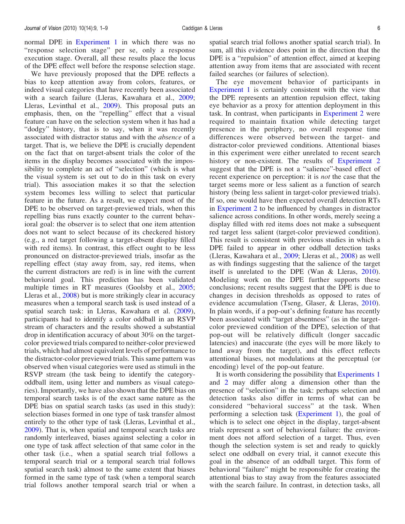normal DPE in [Experiment 1](#page-2-0) in which there was no "response selection stage" per se, only a response execution stage. Overall, all these results place the locus of the DPE effect well before the response selection stage.

We have previously proposed that the DPE reflects a bias to keep attention away from colors, features, or indeed visual categories that have recently been associated with a search failure (Lleras, Kawahara et al., [2009](#page-8-0); Lleras, Levinthal et al., [2009\)](#page-8-0). This proposal puts an emphasis, then, on the "repelling" effect that a visual feature can have on the selection system when it has had a "dodgy" history, that is to say, when it was recently associated with distractor status and with the absence of a target. That is, we believe the DPE is crucially dependent on the fact that on target-absent trials the color of the items in the display becomes associated with the impossibility to complete an act of "selection" (which is what the visual system is set out to do in this task on every trial). This association makes it so that the selection system becomes less willing to select that particular feature in the future. As a result, we expect most of the DPE to be observed on target-previewed trials, when this repelling bias runs exactly counter to the current behavioral goal: the observer is to select that one item attention does not want to select because of its checkered history (e.g., a red target following a target-absent display filled with red items). In contrast, this effect ought to be less pronounced on distractor-previewed trials, insofar as the repelling effect (stay away from, say, red items, when the current distractors are red) is in line with the current behavioral goal. This prediction has been validated multiple times in RT measures (Goolsby et al., [2005](#page-7-0); Lleras et al., [2008](#page-8-0)) but is more strikingly clear in accuracy measures when a temporal search task is used instead of a spatial search task: in Lleras, Kawahara et al. ([2009\)](#page-8-0), participants had to identify a color oddball in an RSVP stream of characters and the results showed a substantial drop in identification accuracy of about 30% on the targetcolor previewed trials compared to neither-color previewed trials, which had almost equivalent levels of performance to the distractor-color previewed trials. This same pattern was observed when visual categories were used as stimuli in the RSVP stream (the task being to identify the categoryoddball item, using letter and numbers as visual categories). Importantly, we have also shown that the DPE bias on temporal search tasks is of the exact same nature as the DPE bias on spatial search tasks (as used in this study): selection biases formed in one type of task transfer almost entirely to the other type of task (Lleras, Levinthal et al., [2009\)](#page-8-0). That is, when spatial and temporal search tasks are randomly interleaved, biases against selecting a color in one type of task affect selection of that same color in the other task (i.e., when a spatial search trial follows a temporal search trial or a temporal search trial follows spatial search task) almost to the same extent that biases formed in the same type of task (when a temporal search trial follows another temporal search trial or when a

spatial search trial follows another spatial search trial). In sum, all this evidence does point in the direction that the DPE is a "repulsion" of attention effect, aimed at keeping attention away from items that are associated with recent failed searches (or failures of selection).

The eye movement behavior of participants in [Experiment 1](#page-2-0) is certainly consistent with the view that the DPE represents an attention repulsion effect, taking eye behavior as a proxy for attention deployment in this task. In contrast, when participants in [Experiment 2](#page-3-0) were required to maintain fixation while detecting target presence in the periphery, no overall response time differences were observed between the target- and distractor-color previewed conditions. Attentional biases in this experiment were either unrelated to recent search history or non-existent. The results of [Experiment 2](#page-3-0) suggest that the DPE is not a "salience"-based effect of recent experience on perception: it is not the case that the target seems more or less salient as a function of search history (being less salient in target-color previewed trials). If so, one would have then expected overall detection RTs in [Experiment 2](#page-3-0) to be influenced by changes in distractor salience across conditions. In other words, merely seeing a display filled with red items does not make a subsequent red target less salient (target-color previewed condition). This result is consistent with previous studies in which a DPE failed to appear in other oddball detection tasks (Lleras, Kawahara et al., [2009;](#page-8-0) Lleras et al., [2008](#page-8-0)) as well as with findings suggesting that the salience of the target itself is unrelated to the DPE (Wan & Lleras, [2010\)](#page-8-0). Modeling work on the DPE further supports these conclusions; recent results suggest that the DPE is due to changes in decision thresholds as opposed to rates of evidence accumulation (Tseng, Glaser, & Lleras, [2010\)](#page-8-0). In plain words, if a pop-out's defining feature has recently been associated with "target absentness" (as in the targetcolor previewed condition of the DPE), selection of that pop-out will be relatively difficult (longer saccadic latencies) and inaccurate (the eyes will be more likely to land away from the target), and this effect reflects attentional biases, not modulations at the perceptual (or encoding) level of the pop-out feature.

It is worth considering the possibility that [Experiments 1](#page-2-0) and [2](#page-3-0) may differ along a dimension other than the presence of "selection" in the task: perhaps selection and detection tasks also differ in terms of what can be considered "behavioral success" at the task. When performing a selection task ([Experiment 1\)](#page-2-0), the goal of which is to select one object in the display, target-absent trials represent a sort of behavioral failure: the environment does not afford selection of a target. Thus, even though the selection system is set and ready to quickly select one oddball on every trial, it cannot execute this goal in the absence of an oddball target. This form of behavioral "failure" might be responsible for creating the attentional bias to stay away from the features associated with the search failure. In contrast, in detection tasks, all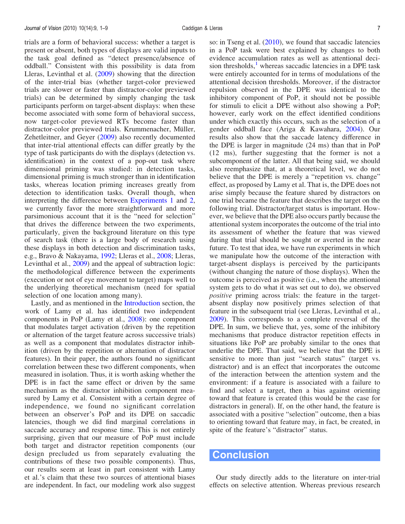trials are a form of behavioral success: whether a target is present or absent, both types of displays are valid inputs to the task goal defined as "detect presence/absence of oddball." Consistent with this possibility is data from Lleras, Levinthal et al. ([2009\)](#page-8-0) showing that the direction of the inter-trial bias (whether target-color previewed trials are slower or faster than distractor-color previewed trials) can be determined by simply changing the task participants perform on target-absent displays: when these become associated with some form of behavioral success, now target-color previewed RTs become faster than distractor-color previewed trials. Krummenacher, Müller, Zehetleitner, and Geyer [\(2009\)](#page-7-0) also recently documented that inter-trial attentional effects can differ greatly by the type of task participants do with the displays (detection vs. identification) in the context of a pop-out task where dimensional priming was studied: in detection tasks, dimensional priming is much stronger than in identification tasks, whereas location priming increases greatly from detection to identification tasks. Overall though, when interpreting the difference between [Experiments 1](#page-2-0) and [2](#page-3-0), we currently favor the more straightforward and more parsimonious account that it is the "need for selection" that drives the difference between the two experiments, particularly, given the background literature on this type of search task (there is a large body of research using these displays in both detection and discrimination tasks, e.g., Bravo & Nakayama, [1992;](#page-7-0) Lleras et al., [2008](#page-8-0); Lleras, Levinthal et al., [2009\)](#page-8-0) and the appeal of subtraction logic: the methodological difference between the experiments (execution or not of eye movement to target) maps well to the underlying theoretical mechanism (need for spatial selection of one location among many).

Lastly, and as mentioned in the [Introduction](#page-0-0) section, the work of Lamy et al. has identified two independent components in PoP (Lamy et al., [2008](#page-7-0)): one component that modulates target activation (driven by the repetition or alternation of the target feature across successive trials) as well as a component that modulates distractor inhibition (driven by the repetition or alternation of distractor features). In their paper, the authors found no significant correlation between these two different components, when measured in isolation. Thus, it is worth asking whether the DPE is in fact the same effect or driven by the same mechanism as the distractor inhibition component measured by Lamy et al. Consistent with a certain degree of independence, we found no significant correlation between an observer's PoP and its DPE on saccadic latencies, though we did find marginal correlations in saccade accuracy and response time. This is not entirely surprising, given that our measure of PoP must include both target and distractor repetition components (our design precluded us from separately evaluating the contributions of these two possible components). Thus, our results seem at least in part consistent with Lamy et al.'s claim that these two sources of attentional biases are independent. In fact, our modeling work also suggest

so: in Tseng et al. ([2010](#page-8-0)), we found that saccadic latencies in a PoP task were best explained by changes to both evidence accumulation rates as well as attentional decision thresholds, $<sup>1</sup>$  $<sup>1</sup>$  $<sup>1</sup>$  whereas saccadic latencies in a DPE task</sup> were entirely accounted for in terms of modulations of the attentional decision thresholds. Moreover, if the distractor repulsion observed in the DPE was identical to the inhibitory component of PoP, it should not be possible for stimuli to elicit a DPE without also showing a PoP; however, early work on the effect identified conditions under which exactly this occurs, such as the selection of a gender oddball face (Ariga & Kawahara, [2004\)](#page-7-0). Our results also show that the saccade latency difference in the DPE is larger in magnitude (24 ms) than that in PoP (12 ms), further suggesting that the former is not a subcomponent of the latter. All that being said, we should also reemphasize that, at a theoretical level, we do not believe that the DPE is merely a "repetition vs. change" effect, as proposed by Lamy et al. That is, the DPE does not arise simply because the feature shared by distractors on one trial became the feature that describes the target on the following trial. Distractor/target status is important. However, we believe that the DPE also occurs partly because the attentional system incorporates the outcome of the trial into its assessment of whether the feature that was viewed during that trial should be sought or averted in the near future. To test that idea, we have run experiments in which we manipulate how the outcome of the interaction with target-absent displays is perceived by the participants (without changing the nature of those displays). When the outcome is perceived as positive (i.e., when the attentional system gets to do what it was set out to do), we observed positive priming across trials: the feature in the targetabsent display now positively primes selection of that feature in the subsequent trial (see Lleras, Levinthal et al., [2009\)](#page-8-0). This corresponds to a complete reversal of the DPE. In sum, we believe that, yes, some of the inhibitory mechanisms that produce distractor repetition effects in situations like PoP are probably similar to the ones that underlie the DPE. That said, we believe that the DPE is sensitive to more than just "search status" (target vs. distractor) and is an effect that incorporates the outcome of the interaction between the attention system and the environment: if a feature is associated with a failure to find and select a target, then a bias against orienting toward that feature is created (this would be the case for distractors in general). If, on the other hand, the feature is associated with a positive "selection" outcome, then a bias to orienting toward that feature may, in fact, be created, in spite of the feature's "distractor" status.

### **Conclusion**

Our study directly adds to the literature on inter-trial effects on selective attention. Whereas previous research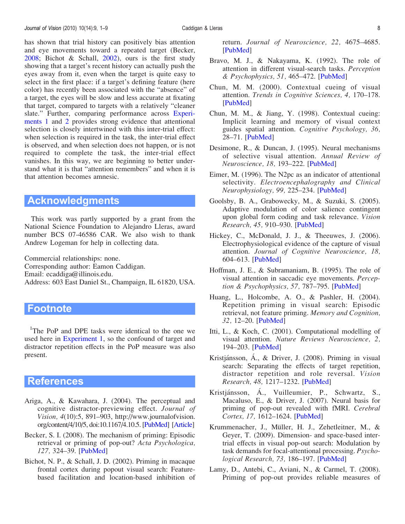<span id="page-7-0"></span>has shown that trial history can positively bias attention and eye movements toward a repeated target (Becker, 2008; Bichot & Schall, 2002), ours is the first study showing that a target's recent history can actually push the eyes away from it, even when the target is quite easy to select in the first place: if a target's defining feature (here color) has recently been associated with the "absence" of a target, the eyes will be slow and less accurate at fixating that target, compared to targets with a relatively "cleaner slate." Further, comparing performance across [Experi](#page-2-0)[ments 1](#page-2-0) and [2](#page-3-0) provides strong evidence that attentional selection is closely intertwined with this inter-trial effect: when selection is required in the task, the inter-trial effect is observed, and when selection does not happen, or is not required to complete the task, the inter-trial effect vanishes. In this way, we are beginning to better understand what it is that "attention remembers" and when it is that attention becomes amnesic.

# Acknowledgments

This work was partly supported by a grant from the National Science Foundation to Alejandro Lleras, award number BCS 07-46586 CAR. We also wish to thank Andrew Logeman for help in collecting data.

Commercial relationships: none. Corresponding author: Eamon Caddigan. Email: ecaddiga@illinois.edu. Address: 603 East Daniel St., Champaign, IL 61820, USA.

# Footnote

<sup>1</sup>The PoP and DPE tasks were identical to the one we used here in [Experiment 1,](#page-2-0) so the confound of target and distractor repetition effects in the PoP measure was also present.

# **References**

- Ariga, A., & Kawahara, J. (2004). The perceptual and cognitive distractor-previewing effect. Journal of Vision, 4(10):5, 891–903, http://www.journalofvision. org/content/4/10/5, doi:10.1167/4.10.5. [\[PubMed\]](http://www.ncbi.nlm.nih.gov/pubmed/15595893?dopt=Abstract) [\[Article\]](http://www.journalofvision.org/content/4/10/5)
- Becker, S. I. (2008). The mechanism of priming: Episodic retrieval or priming of pop-out? Acta Psychologica, 127, 324–39. [\[PubMed](http://www.ncbi.nlm.nih.gov/pubmed/17868628)]
- Bichot, N. P., & Schall, J. D. (2002). Priming in macaque frontal cortex during popout visual search: Featurebased facilitation and location-based inhibition of

return. Journal of Neuroscience, 22, 4675–4685. [\[PubMed](http://www.ncbi.nlm.nih.gov/pubmed/12040074)]

- Bravo, M. J., & Nakayama, K. (1992). The role of attention in different visual-search tasks. Perception & Psychophysics, 51, 465–472. [[PubMed\]](http://www.ncbi.nlm.nih.gov/pubmed/1594436)
- Chun, M. M. (2000). Contextual cueing of visual attention. Trends in Cognitive Sciences, 4, 170–178. [\[PubMed](http://www.ncbi.nlm.nih.gov/pubmed/10782102)]
- Chun, M. M., & Jiang, Y. (1998). Contextual cueing: Implicit learning and memory of visual context guides spatial attention. Cognitive Psychology, 36, 28–71. [[PubMed\]](http://www.ncbi.nlm.nih.gov/pubmed/9679076?dopt=Abstract)
- Desimone, R., & Duncan, J. (1995). Neural mechanisms of selective visual attention. Annual Review of Neuroscience, 18, 193-222. [\[PubMed](http://www.ncbi.nlm.nih.gov/pubmed/7605061?dopt=Abstract)]
- Eimer, M. (1996). The N2pc as an indicator of attentional selectivity. Electroencephalography and Clinical Neurophysiology, 99, 225–234. [\[PubMed](http://www.ncbi.nlm.nih.gov/pubmed/8862112?dopt=Abstract)]
- Goolsby, B. A., Grabowecky, M., & Suzuki, S. (2005). Adaptive modulation of color salience contingent upon global form coding and task relevance. Vision Research, 45, 910–930. [\[PubMed](http://www.ncbi.nlm.nih.gov/pubmed/15644230?dopt=Abstract)]
- Hickey, C., McDonald, J. J., & Theeuwes, J. (2006). Electrophysiological evidence of the capture of visual attention. Journal of Cognitive Neuroscience, 18, 604–613. [[PubMed\]](http://www.ncbi.nlm.nih.gov/pubmed/16768363?dopt=Abstract)
- Hoffman, J. E., & Subramaniam, B. (1995). The role of visual attention in saccadic eye movements. Percep-tion & Psychophysics, 57, 787-795. [\[PubMed](http://www.ncbi.nlm.nih.gov/pubmed/7651803)]
- Huang, L., Holcombe, A. O., & Pashler, H. (2004). Repetition priming in visual search: Episodic retrieval, not feature priming. Memory and Cognition, 32, 12–20. [\[PubMed](http://www.ncbi.nlm.nih.gov/pubmed/15078040?dopt=Abstract)]
- Itti, L., & Koch, C. (2001). Computational modelling of visual attention. Nature Reviews Neuroscience, 2, 194–203. [[PubMed\]](http://www.ncbi.nlm.nih.gov/pubmed/11256080)
- Kristjánsson, Á., & Driver, J. (2008). Priming in visual search: Separating the effects of target repetition, distractor repetition and role reversal. Vision Research, 48, 1217–1232. [\[PubMed](http://www.ncbi.nlm.nih.gov/pubmed/18374961)]
- Kristjánsson, Á., Vuilleumier, P., Schwartz, S., Macaluso, E., & Driver, J. (2007). Neural basis for priming of pop-out revealed with fMRI. Cerebral Cortex, 17, 1612–1624. [\[PubMed](http://www.ncbi.nlm.nih.gov/pubmed/16959868)]
- Krummenacher, J., Müller, H. J., Zehetleitner, M., & Geyer, T. (2009). Dimension- and space-based intertrial effects in visual pop-out search: Modulation by task demands for focal-attentional processing. Psycho-logical Research, 73, 186–197. [\[PubMed\]](http://www.ncbi.nlm.nih.gov/pubmed/19066948)
- Lamy, D., Antebi, C., Aviani, N., & Carmel, T. (2008). Priming of pop-out provides reliable measures of